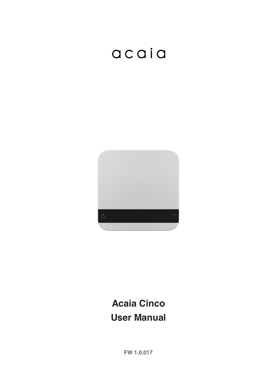# acaia



## **Acaia Cinco User Manual**

**FW 1.0.017**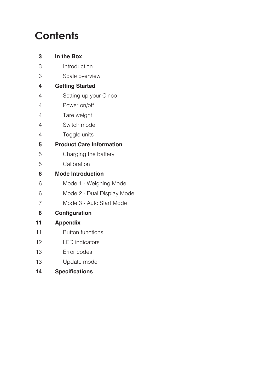## **Contents**

| 3                       | In the Box                      |
|-------------------------|---------------------------------|
| 3                       | Introduction                    |
| 3                       | Scale overview                  |
| $\overline{\mathbf{4}}$ | <b>Getting Started</b>          |
| $\overline{4}$          | Setting up your Cinco           |
| 4                       | Power on/off                    |
| $\overline{4}$          | Tare weight                     |
| $\overline{4}$          | Switch mode                     |
| 4                       | Toggle units                    |
| 5                       | <b>Product Care Information</b> |
| 5                       | Charging the battery            |
| 5                       | Calibration                     |
| 6                       | <b>Mode Introduction</b>        |
| 6                       | Mode 1 - Weighing Mode          |
| 6                       | Mode 2 - Dual Display Mode      |
| $\overline{7}$          | Mode 3 - Auto Start Mode        |
| 8                       | Configuration                   |
| 11                      | <b>Appendix</b>                 |
| 11                      | <b>Button functions</b>         |
| 12                      | <b>LED</b> indicators           |
| 13                      | Error codes                     |
| 13                      | Update mode                     |
|                         |                                 |

#### 14 Specifications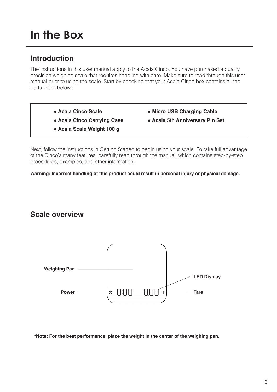## **In the Box**

#### **Introduction**

The instructions in this user manual apply to the Acaia Cinco. You have purchased a quality precision weighing scale that requires handling with care. Make sure to read through this user manual prior to using the scale. Start by checking that your Acaia Cinco box contains all the parts listed below:

- Acaia Cinco Scale  **Micro USB Charging Cable**
- **Acaia Cinco Carrying Case Acaia 5th Anniversary Pin Set**
- 
- **Acaia Scale Weight 100 g**

Next, follow the instructions in Getting Started to begin using your scale. To take full advantage of the Cinco's many features, carefully read through the manual, which contains step-by-step procedures, examples, and other information.

**Warning: Incorrect handling of this product could result in personal injury or physical damage.**

#### **Scale overview**



**\*Note: For the best performance, place the weight in the center of the weighing pan.**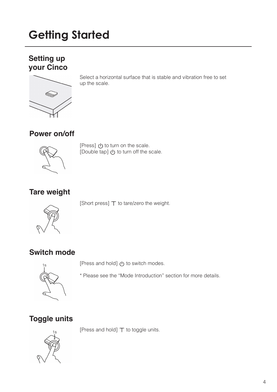## **Getting Started**

#### **Setting up your Cinco**



Select a horizontal surface that is stable and vibration free to set up the scale.

#### **Power on/off**



[Press] (b) to turn on the scale. [Double tap]  $\bigcirc$  to turn off the scale.

#### **Tare weight**

[Short press]  $\top$  to tare/zero the weight.



**Switch mode**



I ress and hold] (b) to switch modes.

\* Please see the "Mode Introduction" section for more details.

#### **Toggle units**

[Press and hold]  $\top$  to toggle units.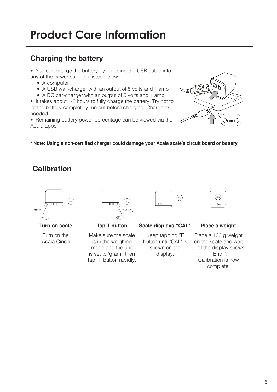## **Product Care Information**

#### **Charging the battery**

• You can charge the battery by plugging the USB cable into any of the power supplies listed below:

- A computer
- A USB wall-charger with an output of 5 volts and 1 amp
- A DC car-charger with an output of 5 volts and 1 amp

• It takes about 1-2 hours to fully charge the battery. Try not to let the battery completely run out before charging. Charge as needed.

• Remaining battery power percentage can be viewed via the Acaia apps.



**\* Note: Using a non-certifed charger could damage your Acaia scale's circuit board or battery.**

#### **Calibration**



Turn on the Acaia Cinco.



Make sure the scale is in the weighing mode and the unit is set to 'gram', then tap 'T' button rapidly.



 $\int$ 100g  $-$ End $-$ 

**Turn on scale Tap T button Scale displays "CAL" Place a weight** 

Keep tapping 'T' button until 'CAL' is shown on the display.

Place a 100 g weight on the scale and wait until the display shows '\_End\_'. Calibration is now complete.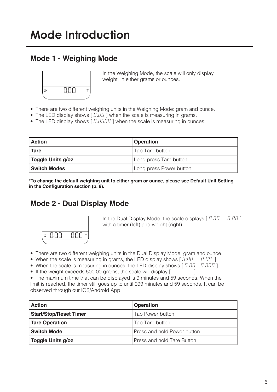#### **Mode 1 - Weighing Mode**



In the Weighing Mode, the scale will only display weight, in either grams or ounces.

- There are two different weighing units in the Weighing Mode: gram and ounce.
- The LED display shows  $[0.00]$  when the scale is measuring in grams.
- The LED display shows  $[0.0000]$  ] when the scale is measuring in ounces.

| <b>Action</b>       | <b>Operation</b>        |
|---------------------|-------------------------|
| <b>Tare</b>         | Tap Tare button         |
| Toggle Units g/oz   | Long press Tare button  |
| <b>Switch Modes</b> | Long press Power button |

**\*To change the default weighing unit to either gram or ounce, please see Default Unit Setting in the Confguration section (p. 8).**

#### **Mode 2 - Dual Display Mode**



In the Dual Display Mode, the scale displays  $[0:00 \quad 0.00]$ with a timer (left) and weight (right).

- There are two different weighing units in the Dual Display Mode: gram and ounce.
- When the scale is measuring in grams, the LED display shows  $[0:00 \quad 0.00]$ .
- When the scale is measuring in ounces, the LED display shows  $[0:00 0.000]$ .
- If the weight exceeds 500.00 grams, the scale will display  $\lceil 2 \rceil$  =  $\lceil 2 \rceil$ .
- The maximum time that can be displayed is 9 minutes and 59 seconds. When the limit is reached, the timer still goes up to until 999 minutes and 59 seconds. It can be observed through our iOS/Android App.

| <b>Action</b>                 | <b>Operation</b>            |
|-------------------------------|-----------------------------|
| <b>Start/Stop/Reset Timer</b> | Tap Power button            |
| Tare Operation                | Tap Tare button             |
| <b>Switch Mode</b>            | Press and hold Power button |
| Toggle Units g/oz             | Press and hold Tare Button  |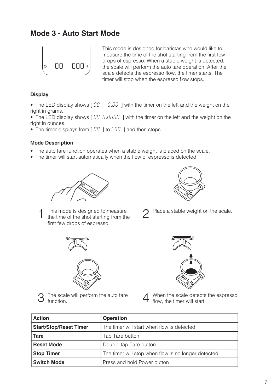#### **Mode 3 - Auto Start Mode**



This mode is designed for baristas who would like to measure the time of the shot starting from the first few drops of espresso. When a stable weight is detected, the scale will perform the auto tare operation. After the scale detects the espresso flow, the timer starts. The timer will stop when the espresso flow stops.

#### **Display**

• The LED display shows  $\begin{bmatrix} 0 & 0 \\ 0 & 0 \end{bmatrix}$  with the timer on the left and the weight on the right in grams.

• The LED display shows  $[00 0.0000 1]$  with the timer on the left and the weight on the right in ounces.

• The timer displays from  $[III]$  to  $[99]$  and then stops.

#### **Mode Description**

- The auto tare function operates when a stable weight is placed on the scale.
- The timer will start automatically when the flow of espresso is detected.





- This mode is designed to measure the time of the shot starting from the first few drops of espresso. 1
- Place a stable weight on the scale. 2





The scale will perform the auto tare function. 3



When the scale detects the espresso flow, the timer will start. 4

| <b>Action</b>                                                               | <b>Operation</b>                                    |
|-----------------------------------------------------------------------------|-----------------------------------------------------|
| <b>Start/Stop/Reset Timer</b><br>The timer will start when flow is detected |                                                     |
| <b>Tare</b>                                                                 | Tap Tare button                                     |
| <b>Reset Mode</b>                                                           | Double tap Tare button                              |
| <b>Stop Timer</b>                                                           | The timer will stop when flow is no longer detected |
| <b>Switch Mode</b>                                                          | Press and hold Power button                         |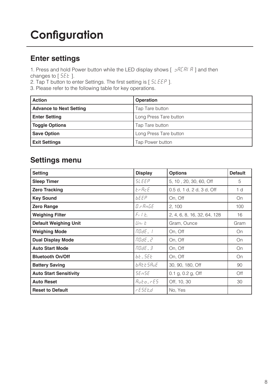## **Configuration**

#### **Enter settings**

1. Press and hold Power button while the LED display shows  $\left[\begin{array}{cc} \frac{\partial F}{\partial t} & \frac{\partial F}{\partial t} \\ \frac{\partial F}{\partial t} & \frac{\partial F}{\partial t} \end{array}\right]$  and then changes to  $[55E]$ .

2. Tap T button to enter Settings. The first setting is [  $5LEEP$  ].

3. Please refer to the following table for key operations.

| <b>Action</b>                  | <b>Operation</b>       |
|--------------------------------|------------------------|
| <b>Advance to Next Setting</b> | Tap Tare button        |
| <b>Enter Setting</b>           | Long Press Tare button |
| <b>Toggle Options</b>          | Tap Tare button        |
| <b>Save Option</b>             | Long Press Tare button |
| <b>Exit Settings</b>           | Tap Power button       |

#### **Settings menu**

| <b>Setting</b>                | <b>Display</b>   | <b>Options</b>              | <b>Default</b> |
|-------------------------------|------------------|-----------------------------|----------------|
| <b>Sleep Timer</b>            | <b>SLEEP</b>     | 5, 10, 20, 30, 60, Off      | 5              |
| <b>Zero Tracking</b>          | ErAcE            | 0.5 d, 1 d, 2 d, 3 d, Off   | 1 <sub>d</sub> |
| <b>Key Sound</b>              | <b>bEEP</b>      | On, Off                     | On             |
| <b>Zero Range</b>             | O.r AnGE         | 2, 100                      | 100            |
| <b>Weighing Filter</b>        | $F_1 \perp F_2$  | 2, 4, 6, 8, 16, 32, 64, 128 | 16             |
| <b>Default Weighing Unit</b>  | Uni E            | Gram, Ounce                 | Gram           |
| <b>Weighing Mode</b>          | $\Pi J dE_1$ /   | On, Off                     | On             |
| <b>Dual Display Mode</b>      | node_2           | On, Off                     | On             |
| <b>Auto Start Mode</b>        | NOdE_3           | On, Off                     | On             |
| <b>Bluetooth On/Off</b>       | <i>bt</i> - 5EE  | On, Off                     | On             |
| <b>Battery Saving</b>         | <b>b</b> REESRuE | 30, 90, 180, Off            | 90             |
| <b>Auto Start Sensitivity</b> | 5En5E            | $0.1$ g, $0.2$ g, Off       | Off            |
| <b>Auto Reset</b>             | <i>Auto</i> _rES | Off, 10, 30                 | 30             |
| <b>Reset to Default</b>       | r E SE E.d       | No, Yes                     |                |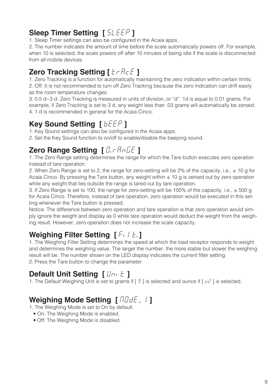### **Sleep Timer Setting [**  $5 \angle EEP$  **]**

1. Sleep Timer settings can also be configured in the Acaia apps.

2. The number indicates the amount of time before the scale automatically powers off. For example, when 10 is selected, the scale powers off after 10 minutes of being idle if the scale is disconnected from all mobile devices.

#### **Zero Tracking Setting [**  $tr$  **AcE** ]

1. Zero Tracking is a function for automatically maintaining the zero indication within certain limits. 2. Off: It is not recommended to turn off Zero Tracking because the zero indication can drift easily as the room temperature changes.

3. 0.5 d~3 d: Zero Tracking is measured in units of division, or "d". 1d is equal to 0.01 grams. For example, if Zero Tracking is set to 3 d, any weight less than .03 grams will automatically be zeroed. 4. 1 d is recommended in general for the Acaia Cinco.

#### **Key Sound Setting [**  $b \in \mathbb{R}^p$  **]**

1. Key Sound settings can also be configured in the Acaia apps.

2. Set the Key Sound function to on/off to enable/disable the beeping sound.

#### **Zero Range Setting [** $0$ **.** $\tau$ **<code>AnGE</code> ]**

1. The Zero Range setting determines the range for which the Tare button executes zero operation instead of tare operation.

2. When Zero Range is set to 2, the range for zero-setting will be 2% of the capacity, i.e.,  $\pm$  10 g for Acaia Cinco. By pressing the Tare button, any weight within  $\pm$  10 g is zeroed out by zero operation while any weight that lies outside the range is tared out by tare operation.

3. If Zero Range is set to 100, the range for zero-setting will be 100% of the capacity, i.e., ± 500 g for Acaia Cinco. Therefore, instead of tare operation, zero operation would be executed in this setting whenever the Tare button is pressed.

Notice: The difference between zero operation and tare operation is that zero operation would simply ignore the weight and display as 0 while tare operation would deduct the weight from the weighing result. However, zero operation does not increase the scale capacity.

### **Weighing Filter Setting [**Fɪ] 上.]

1. The Weighing Filter Setting determines the speed at which the load receptor responds to weight and determines the weighing value. The larger the number, the more stable but slower the weighing result will be. The number shown on the LED display indicates the current filter setting. 2. Press the Tare button to change the parameter.

#### **Default Unit Setting [**  $Uni \t I$ **]**

1. The Default Weighing Unit is set to grams if  $\lceil 9 \rceil$  is selected and ounce if  $\lceil 0e^2 \rceil$  is selected.

### **Weighing Mode Setting [ RODE 1]**

1. The Weighing Mode is set to On by default.

- On: The Weighing Mode is enabled.
- Off: The Weighing Mode is disabled.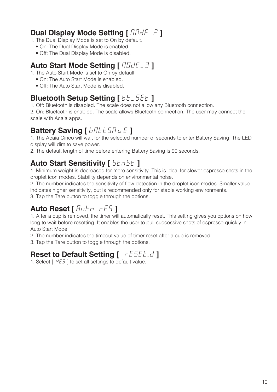#### **Dual Display Mode Setting [**  $100dE$  $2$  **]**

1. The Dual Display Mode is set to On by default.

- On: The Dual Display Mode is enabled.
- Off: The Dual Display Mode is disabled.

#### **Auto Start Mode Setting [**  $170dE - 3$  **]**

1. The Auto Start Mode is set to On by default.

- On: The Auto Start Mode is enabled.
- Off: The Auto Start Mode is disabled.

#### **Bluetooth Setup Setting [ bt \_ 5Et ]**

1. Off: Bluetooth is disabled. The scale does not allow any Bluetooth connection.

2. On: Bluetooth is enabled. The scale allows Bluetooth connection. The user may connect the scale with Acaia apps.

## **Battery Saving [**  $b$  *R*  $t$   $t$  5 *R*  $\omega$   $\in$  **]**

1. The Acaia Cinco will wait for the selected number of seconds to enter Battery Saving. The LED display will dim to save power.

2. The default length of time before entering Battery Saving is 90 seconds.

#### **Auto Start Sensitivity [** SEnSE **]**

1. Minimum weight is decreased for more sensitivity. This is ideal for slower espresso shots in the droplet icon modes. Stability depends on environmental noise.

2. The number indicates the sensitivity of flow detection in the droplet icon modes. Smaller value indicates higher sensitivity, but is recommended only for stable working environments.

3. Tap the Tare button to toggle through the options.

#### **Auto Reset [** Auto\_rES **]**

1. After a cup is removed, the timer will automatically reset. This setting gives you options on how long to wait before resetting. It enables the user to pull successive shots of espresso quickly in Auto Start Mode.

2. The number indicates the timeout value of timer reset after a cup is removed.

3. Tap the Tare button to toggle through the options.

### **Reset to Default Setting [** rESEE.d ]

1. Select  $[$   $4E5$   $]$  to set all settings to default value.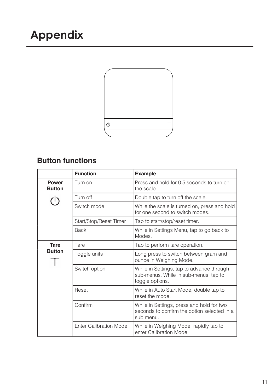

### **Button functions**

|                               | <b>Function</b>               | <b>Example</b>                                                                                        |
|-------------------------------|-------------------------------|-------------------------------------------------------------------------------------------------------|
| <b>Power</b><br><b>Button</b> | Turn on                       | Press and hold for 0.5 seconds to turn on<br>the scale.                                               |
|                               | Turn off                      | Double tap to turn off the scale.                                                                     |
|                               | Switch mode                   | While the scale is turned on, press and hold<br>for one second to switch modes.                       |
|                               | Start/Stop/Reset Timer        | Tap to start/stop/reset timer.                                                                        |
|                               | <b>Back</b>                   | While in Settings Menu, tap to go back to<br>Modes.                                                   |
| <b>Tare</b>                   | Tare                          | Tap to perform tare operation.                                                                        |
| <b>Button</b>                 | Toggle units                  | Long press to switch between gram and<br>ounce in Weighing Mode.                                      |
|                               | Switch option                 | While in Settings, tap to advance through<br>sub-menus. While in sub-menus, tap to<br>toggle options. |
|                               | Reset                         | While in Auto Start Mode, double tap to<br>reset the mode.                                            |
|                               | Confirm                       | While in Settings, press and hold for two<br>seconds to confirm the option selected in a<br>sub menu. |
|                               | <b>Enter Calibration Mode</b> | While in Weighing Mode, rapidly tap to<br>enter Calibration Mode.                                     |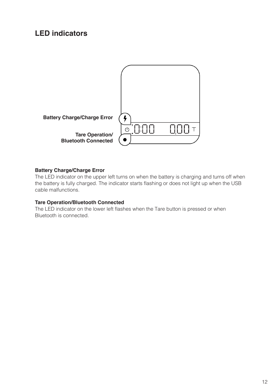#### **LED indicators**



#### **Battery Charge/Charge Error**

The LED indicator on the upper left turns on when the battery is charging and turns off when the battery is fully charged. The indicator starts flashing or does not light up when the USB cable malfunctions.

#### **Tare Operation/Bluetooth Connected**

The LED indicator on the lower left flashes when the Tare button is pressed or when Bluetooth is connected.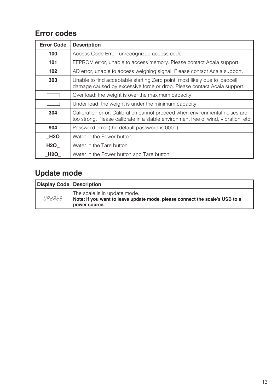#### **Error codes**

| <b>Error Code</b> | <b>Description</b>                                                                                                                                                |
|-------------------|-------------------------------------------------------------------------------------------------------------------------------------------------------------------|
| 100               | Access Code Error, unrecognized access code.                                                                                                                      |
| 101               | EEPROM error, unable to access memory. Please contact Acaia support.                                                                                              |
| 102               | AD error, unable to access weighing signal. Please contact Acaia support.                                                                                         |
| 303               | Unable to find acceptable starting Zero point, most likely due to loadcell<br>damage caused by excessive force or drop. Please contact Acaia support.             |
|                   | Over load: the weight is over the maximum capacity.                                                                                                               |
|                   | Under load: the weight is under the minimum capacity.                                                                                                             |
| 304               | Calibration error. Calibration cannot proceed when environmental noises are<br>too strong. Please calibrate in a stable environment free of wind, vibration, etc. |
| 904               | Password error (the default password is 0000)                                                                                                                     |
| <b>H2O</b>        | Water in the Power button                                                                                                                                         |
| <b>H2O</b>        | Water in the Tare button                                                                                                                                          |
| <b>H2O</b>        | Water in the Power button and Tare button                                                                                                                         |

### **Update mode**

| Display Code   Description |                                                                                                                              |
|----------------------------|------------------------------------------------------------------------------------------------------------------------------|
| UPdREE                     | The scale is in update mode.<br>Note: If you want to leave update mode, please connect the scale's USB to a<br>power source. |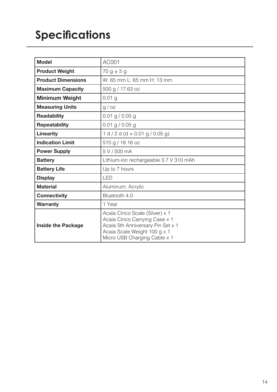## **Specifications**

| <b>Model</b>              | AC001                                                                                                                                                                |
|---------------------------|----------------------------------------------------------------------------------------------------------------------------------------------------------------------|
| <b>Product Weight</b>     | $70 g \pm 5 g$                                                                                                                                                       |
| <b>Product Dimensions</b> | W: 65 mm L: 65 mm H: 13 mm                                                                                                                                           |
| <b>Maximum Capacity</b>   | 500 g / 17.63 oz                                                                                                                                                     |
| <b>Minimum Weight</b>     | 0.01 <sub>g</sub>                                                                                                                                                    |
| <b>Measuring Units</b>    | g / oz                                                                                                                                                               |
| <b>Readability</b>        | $0.01$ g / 0.05 g                                                                                                                                                    |
| <b>Repeatability</b>      | $0.01$ g / 0.05 g                                                                                                                                                    |
| <b>Linearity</b>          | $1 d / 2 d (d = 0.01 g / 0.05 g)$                                                                                                                                    |
| <b>Indication Limit</b>   | 515 g / 18.16 oz                                                                                                                                                     |
| <b>Power Supply</b>       | 5 V / 500 mA                                                                                                                                                         |
| <b>Battery</b>            | Lithium-ion rechargeable 3.7 V 310 mAh                                                                                                                               |
| <b>Battery Life</b>       | Up to 7 hours                                                                                                                                                        |
| <b>Display</b>            | LED                                                                                                                                                                  |
| <b>Material</b>           | Aluminum, Acrylic                                                                                                                                                    |
| <b>Connectivity</b>       | Bluetooth 4.0                                                                                                                                                        |
| <b>Warranty</b>           | 1 Year                                                                                                                                                               |
| <b>Inside the Package</b> | Acaia Cinco Scale (Silver) x 1<br>Acaia Cinco Carrying Case x 1<br>Acaia 5th Anniversary Pin Set x 1<br>Acaia Scale Weight 100 g x 1<br>Micro USB Charging Cable x 1 |